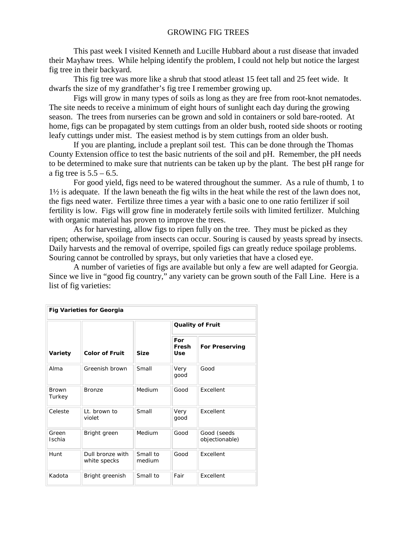This past week I visited Kenneth and Lucille Hubbard about a rust disease that invaded their Mayhaw trees. While helping identify the problem, I could not help but notice the largest fig tree in their backyard.

This fig tree was more like a shrub that stood atleast 15 feet tall and 25 feet wide. It dwarfs the size of my grandfather's fig tree I remember growing up.

Figs will grow in many types of soils as long as they are free from root-knot nematodes. The site needs to receive a minimum of eight hours of sunlight each day during the growing season. The trees from nurseries can be grown and sold in containers or sold bare-rooted. At home, figs can be propagated by stem cuttings from an older bush, rooted side shoots or rooting leafy cuttings under mist. The easiest method is by stem cuttings from an older bush.

If you are planting, include a preplant soil test. This can be done through the Thomas County Extension office to test the basic nutrients of the soil and pH. Remember, the pH needs to be determined to make sure that nutrients can be taken up by the plant. The best pH range for a fig tree is  $5.5 - 6.5$ .

For good yield, figs need to be watered throughout the summer. As a rule of thumb, 1 to 1½ is adequate. If the lawn beneath the fig wilts in the heat while the rest of the lawn does not, the figs need water. Fertilize three times a year with a basic one to one ratio fertilizer if soil fertility is low. Figs will grow fine in moderately fertile soils with limited fertilizer. Mulching with organic material has proven to improve the trees.

As for harvesting, allow figs to ripen fully on the tree. They must be picked as they ripen; otherwise, spoilage from insects can occur. Souring is caused by yeasts spread by insects. Daily harvests and the removal of overripe, spoiled figs can greatly reduce spoilage problems. Souring cannot be controlled by sprays, but only varieties that have a closed eye.

A number of varieties of figs are available but only a few are well adapted for Georgia. Since we live in "good fig country," any variety can be grown south of the Fall Line. Here is a list of fig varieties:

| <b>Fig Varieties for Georgia</b> |                                  |                    |                         |                               |  |  |  |
|----------------------------------|----------------------------------|--------------------|-------------------------|-------------------------------|--|--|--|
| Variety                          | <b>Color of Fruit</b>            | <b>Size</b>        | <b>Quality of Fruit</b> |                               |  |  |  |
|                                  |                                  |                    | For<br>Fresh<br>Use     | <b>For Preserving</b>         |  |  |  |
| Alma                             | Greenish brown                   | Small              | Very<br>good            | Good                          |  |  |  |
| <b>Brown</b><br>Turkey           | <b>Bronze</b>                    | Medium             | Good                    | Excellent                     |  |  |  |
| Celeste                          | It. brown to<br>violet           | Small              | Very<br>good            | <b>Fxcellent</b>              |  |  |  |
| Green<br><b>Ischia</b>           | Bright green                     | Medium             | Good                    | Good (seeds<br>objectionable) |  |  |  |
| Hunt                             | Dull bronze with<br>white specks | Small to<br>medium | Good                    | <b>Fxcellent</b>              |  |  |  |
| Kadota                           | Bright greenish                  | Small to           | Fair                    | Excellent                     |  |  |  |